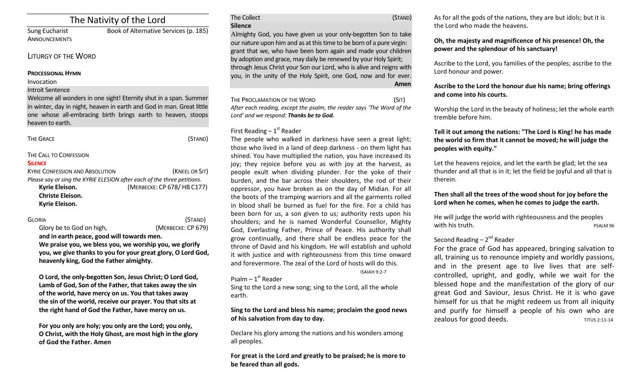# The Nativity of the Lord

ANNOUNCEMENTS

Sung Eucharist Book of Alternative Services (p. 185)

## LITURGY OF THE WORD

### **PROCESSIONAL HYMN**

Invocation

Introit Sentence

Welcome all wonders in one sight! Eternity shut in a span. Summer in winter, day in night, heaven in earth and God in man. Great little one whose all-embracing birth brings earth to heaven, stoops heaven to earth.

| THE GRACE                                                               | (STAND)                    |
|-------------------------------------------------------------------------|----------------------------|
| THE CALL TO CONFESSION                                                  |                            |
| Silence                                                                 |                            |
| <b>KYRIE CONFESSION AND ABSOLUTION</b>                                  | (KNEEL OR SIT)             |
| Please say or sing the KYRIE ELESION after each of the three petitions. |                            |
| Kyrie Eleison.                                                          | (MERBECKE: CP 678/HB C177) |
| <b>Christe Eleison.</b>                                                 |                            |
| Kyrie Eleison.                                                          |                            |
|                                                                         |                            |

| Gloria                                                                                                                  | (STAND)            |  |                                         |
|-------------------------------------------------------------------------------------------------------------------------|--------------------|--|-----------------------------------------|
| Glory be to God on high,                                                                                                | (MERBECKE: CP 679) |  |                                         |
| and in earth peace, good will towards men.                                                                              |                    |  |                                         |
| We praise you, we bless you, we worship you, we glorify<br>you, we give thanks to you for your great glory, O Lord God, |                    |  |                                         |
|                                                                                                                         |                    |  | heavenly king, God the Father almighty. |

**O Lord, the only-begotten Son, Jesus Christ; O Lord God, Lamb of God, Son of the Father, that takes away the sin of the world, have mercy on us. You that takes away the sin of the world, receive our prayer. You that sits at the right hand of God the Father, have mercy on us.** 

**For you only are holy; you only are the Lord; you only, O Christ, with the Holy Ghost, are most high in the glory of God the Father. Amen**

## The Collect (STAND) **Silence**

Almighty God, you have given us your only-begotten Son to take our nature upon him and as at this time to be born of a pure virgin: grant that we, who have been born again and made your children by adoption and grace, may daily be renewed by your Holy Spirit; through Jesus Christ your Son our Lord, who is alive and reigns with you, in the unity of the Holy Spirit, one God, now and for ever. **Amen**

THE PROCLAMATION OF THE WORD (SIT) *After each reading, except the psalm, the reader says 'The Word of the Lord' and we respond: Thanks be to God.* 

## First Reading  $-1<sup>st</sup>$  Reader

The people who walked in darkness have seen a great light; those who lived in a land of deep darkness - on them light has shined. You have multiplied the nation, you have increased its joy; they rejoice before you as with joy at the harvest, as people exult when dividing plunder. For the yoke of their burden, and the bar across their shoulders, the rod of their oppressor, you have broken as on the day of Midian. For all the boots of the tramping warriors and all the garments rolled in blood shall be burned as fuel for the fire. For a child has been born for us, a son given to us; authority rests upon his shoulders; and he is named Wonderful Counsellor, Mighty God, Everlasting Father, Prince of Peace. His authority shall grow continually, and there shall be endless peace for the throne of David and his kingdom. He will establish and uphold it with justice and with righteousness from this time onward and forevermore. The zeal of the Lord of hosts will do this.

#### ISAIAH 9:2-7

Psalm – 1<sup>st</sup> Reader

Sing to the Lord a new song; sing to the Lord, all the whole earth.

## **Sing to the Lord and bless his name; proclaim the good news of his salvation from day to day.**

Declare his glory among the nations and his wonders among all peoples.

**For great is the Lord and greatly to be praised; he is more to be feared than all gods.** 

As for all the gods of the nations, they are but idols; but it is the Lord who made the heavens.

## **Oh, the majesty and magnificence of his presence! Oh, the power and the splendour of his sanctuary!**

Ascribe to the Lord, you families of the peoples; ascribe to the Lord honour and power.

## **Ascribe to the Lord the honour due his name; bring offerings and come into his courts.**

Worship the Lord in the beauty of holiness; let the whole earth tremble before him.

## **Tell it out among the nations: "The Lord is King! he has made the world so firm that it cannot be moved; he will judge the peoples with equity."**

Let the heavens rejoice, and let the earth be glad; let the sea thunder and all that is in it; let the field be joyful and all that is therein.

## **Then shall all the trees of the wood shout for joy before the Lord when he comes, when he comes to judge the earth.**

He will judge the world with righteousness and the peoples with his truth. PSALM 96

## Second Reading – 2<sup>nd</sup> Reader

For the grace of God has appeared, bringing salvation to all, training us to renounce impiety and worldly passions, and in the present age to live lives that are selfcontrolled, upright, and godly, while we wait for the blessed hope and the manifestation of the glory of our great God and Saviour, Jesus Christ. He it is who gave himself for us that he might redeem us from all iniquity and purify for himself a people of his own who are zealous for good deeds. THE THE TITUS 2:11-14